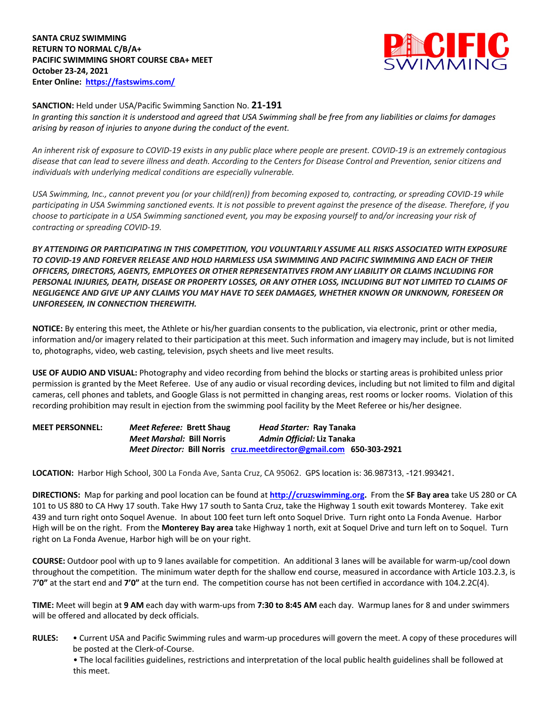**SANTA CRUZ SWIMMING RETURN TO NORMAL C/B/A+ PACIFIC SWIMMING SHORT COURSE CBA+ MEET October 23-24, 2021 Enter Online: https://fastswims.com/**



#### **SANCTION:** Held under USA/Pacific Swimming Sanction No. **21-191**

*In granting this sanction it is understood and agreed that USA Swimming shall be free from any liabilities or claims for damages arising by reason of injuries to anyone during the conduct of the event.* 

*An inherent risk of exposure to COVID-19 exists in any public place where people are present. COVID-19 is an extremely contagious disease that can lead to severe illness and death. According to the Centers for Disease Control and Prevention, senior citizens and individuals with underlying medical conditions are especially vulnerable.*

*USA Swimming, Inc., cannot prevent you (or your child(ren)) from becoming exposed to, contracting, or spreading COVID-19 while participating in USA Swimming sanctioned events. It is not possible to prevent against the presence of the disease. Therefore, if you choose to participate in a USA Swimming sanctioned event, you may be exposing yourself to and/or increasing your risk of contracting or spreading COVID-19.*

*BY ATTENDING OR PARTICIPATING IN THIS COMPETITION, YOU VOLUNTARILY ASSUME ALL RISKS ASSOCIATED WITH EXPOSURE TO COVID-19 AND FOREVER RELEASE AND HOLD HARMLESS USA SWIMMING AND PACIFIC SWIMMING AND EACH OF THEIR OFFICERS, DIRECTORS, AGENTS, EMPLOYEES OR OTHER REPRESENTATIVES FROM ANY LIABILITY OR CLAIMS INCLUDING FOR PERSONAL INJURIES, DEATH, DISEASE OR PROPERTY LOSSES, OR ANY OTHER LOSS, INCLUDING BUT NOT LIMITED TO CLAIMS OF NEGLIGENCE AND GIVE UP ANY CLAIMS YOU MAY HAVE TO SEEK DAMAGES, WHETHER KNOWN OR UNKNOWN, FORESEEN OR UNFORESEEN, IN CONNECTION THEREWITH.*

**NOTICE:** By entering this meet, the Athlete or his/her guardian consents to the publication, via electronic, print or other media, information and/or imagery related to their participation at this meet. Such information and imagery may include, but is not limited to, photographs, video, web casting, television, psych sheets and live meet results.

**USE OF AUDIO AND VISUAL:** Photography and video recording from behind the blocks or starting areas is prohibited unless prior permission is granted by the Meet Referee. Use of any audio or visual recording devices, including but not limited to film and digital cameras, cell phones and tablets, and Google Glass is not permitted in changing areas, rest rooms or locker rooms. Violation of this recording prohibition may result in ejection from the swimming pool facility by the Meet Referee or his/her designee.

**MEET PERSONNEL:** *Meet Referee:* **Brett Shaug** *Head Starter:* **Ray Tanaka** *Meet Marshal:* **Bill Norris** *Admin Official:* **Liz Tanaka** *Meet Director:* **Bill Norris cruz.meetdirector@gmail.com 650-303-2921**

**LOCATION:** Harbor High School, 300 La Fonda Ave, Santa Cruz, CA 95062. GPS location is: 36.987313, -121.993421.

**DIRECTIONS:** Map for parking and pool location can be found at **http://cruzswimming.org.** From the **SF Bay area** take US 280 or CA 101 to US 880 to CA Hwy 17 south. Take Hwy 17 south to Santa Cruz, take the Highway 1 south exit towards Monterey. Take exit 439 and turn right onto Soquel Avenue. In about 100 feet turn left onto Soquel Drive. Turn right onto La Fonda Avenue. Harbor High will be on the right. From the **Monterey Bay area** take Highway 1 north, exit at Soquel Drive and turn left on to Soquel. Turn right on La Fonda Avenue, Harbor high will be on your right.

**COURSE:** Outdoor pool with up to 9 lanes available for competition. An additional 3 lanes will be available for warm-up/cool down throughout the competition. The minimum water depth for the shallow end course, measured in accordance with Article 103.2.3, is 7**'0"** at the start end and **7'0"** at the turn end. The competition course has not been certified in accordance with 104.2.2C(4).

**TIME:** Meet will begin at **9 AM** each day with warm-ups from **7:30 to 8:45 AM** each day. Warmup lanes for 8 and under swimmers will be offered and allocated by deck officials.

**RULES:** • Current USA and Pacific Swimming rules and warm-up procedures will govern the meet. A copy of these procedures will be posted at the Clerk-of-Course.

• The local facilities guidelines, restrictions and interpretation of the local public health guidelines shall be followed at this meet.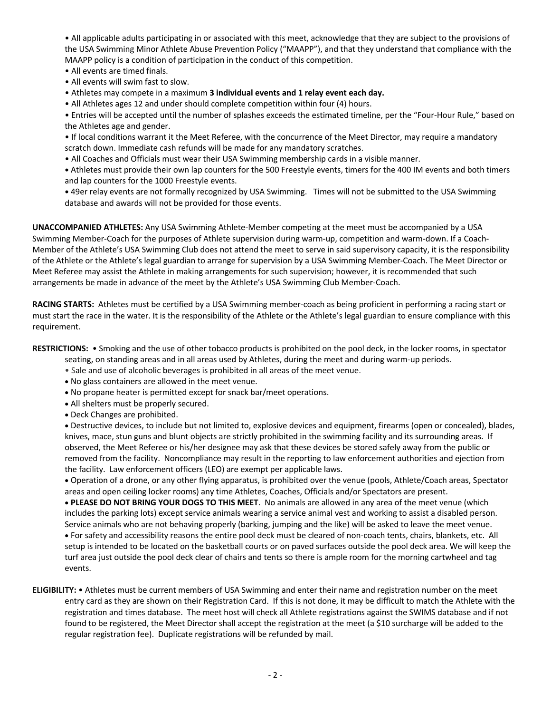• All applicable adults participating in or associated with this meet, acknowledge that they are subject to the provisions of the USA Swimming Minor Athlete Abuse Prevention Policy ("MAAPP"), and that they understand that compliance with the MAAPP policy is a condition of participation in the conduct of this competition.

- All events are timed finals.
- All events will swim fast to slow.
- Athletes may compete in a maximum **3 individual events and 1 relay event each day.**
- All Athletes ages 12 and under should complete competition within four (4) hours.

• Entries will be accepted until the number of splashes exceeds the estimated timeline, per the "Four-Hour Rule," based on the Athletes age and gender.

- If local conditions warrant it the Meet Referee, with the concurrence of the Meet Director, may require a mandatory scratch down. Immediate cash refunds will be made for any mandatory scratches.
- All Coaches and Officials must wear their USA Swimming membership cards in a visible manner.
- **•** Athletes must provide their own lap counters for the 500 Freestyle events, timers for the 400 IM events and both timers and lap counters for the 1000 Freestyle events.
- **•** 49er relay events are not formally recognized by USA Swimming. Times will not be submitted to the USA Swimming database and awards will not be provided for those events.

**UNACCOMPANIED ATHLETES:** Any USA Swimming Athlete-Member competing at the meet must be accompanied by a USA Swimming Member-Coach for the purposes of Athlete supervision during warm-up, competition and warm-down. If a Coach-Member of the Athlete's USA Swimming Club does not attend the meet to serve in said supervisory capacity, it is the responsibility of the Athlete or the Athlete's legal guardian to arrange for supervision by a USA Swimming Member-Coach. The Meet Director or Meet Referee may assist the Athlete in making arrangements for such supervision; however, it is recommended that such arrangements be made in advance of the meet by the Athlete's USA Swimming Club Member-Coach.

**RACING STARTS:** Athletes must be certified by a USA Swimming member-coach as being proficient in performing a racing start or must start the race in the water. It is the responsibility of the Athlete or the Athlete's legal guardian to ensure compliance with this requirement.

**RESTRICTIONS:** • Smoking and the use of other tobacco products is prohibited on the pool deck, in the locker rooms, in spectator

seating, on standing areas and in all areas used by Athletes, during the meet and during warm-up periods.

- Sale and use of alcoholic beverages is prohibited in all areas of the meet venue.
- No glass containers are allowed in the meet venue.
- No propane heater is permitted except for snack bar/meet operations.
- All shelters must be properly secured.
- Deck Changes are prohibited.

• Destructive devices, to include but not limited to, explosive devices and equipment, firearms (open or concealed), blades, knives, mace, stun guns and blunt objects are strictly prohibited in the swimming facility and its surrounding areas. If observed, the Meet Referee or his/her designee may ask that these devices be stored safely away from the public or removed from the facility. Noncompliance may result in the reporting to law enforcement authorities and ejection from the facility. Law enforcement officers (LEO) are exempt per applicable laws.

• Operation of a drone, or any other flying apparatus, is prohibited over the venue (pools, Athlete/Coach areas, Spectator areas and open ceiling locker rooms) any time Athletes, Coaches, Officials and/or Spectators are present.

• **PLEASE DO NOT BRING YOUR DOGS TO THIS MEET**. No animals are allowed in any area of the meet venue (which includes the parking lots) except service animals wearing a service animal vest and working to assist a disabled person. Service animals who are not behaving properly (barking, jumping and the like) will be asked to leave the meet venue. • For safety and accessibility reasons the entire pool deck must be cleared of non-coach tents, chairs, blankets, etc. All setup is intended to be located on the basketball courts or on paved surfaces outside the pool deck area. We will keep the turf area just outside the pool deck clear of chairs and tents so there is ample room for the morning cartwheel and tag events.

**ELIGIBILITY:** • Athletes must be current members of USA Swimming and enter their name and registration number on the meet entry card as they are shown on their Registration Card. If this is not done, it may be difficult to match the Athlete with the registration and times database. The meet host will check all Athlete registrations against the SWIMS database and if not found to be registered, the Meet Director shall accept the registration at the meet (a \$10 surcharge will be added to the regular registration fee). Duplicate registrations will be refunded by mail.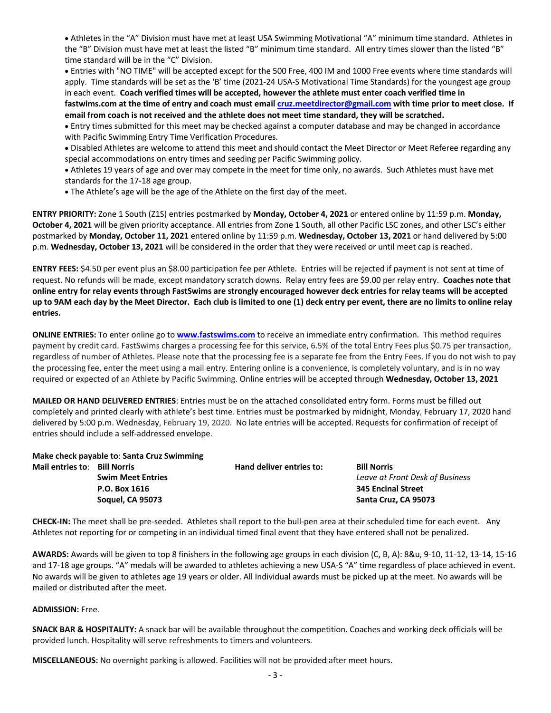• Athletes in the "A" Division must have met at least USA Swimming Motivational "A" minimum time standard. Athletes in the "B" Division must have met at least the listed "B" minimum time standard. All entry times slower than the listed "B" time standard will be in the "C" Division.

• Entries with "NO TIME" will be accepted except for the 500 Free, 400 IM and 1000 Free events where time standards will apply. Time standards will be set as the 'B' time (2021-24 USA-S Motivational Time Standards) for the youngest age group in each event. **Coach verified times will be accepted, however the athlete must enter coach verified time in fastwims.com at the time of entry and coach must email cruz.meetdirector@gmail.com with time prior to meet close. If email from coach is not received and the athlete does not meet time standard, they will be scratched.**

• Entry times submitted for this meet may be checked against a computer database and may be changed in accordance with Pacific Swimming Entry Time Verification Procedures.

• Disabled Athletes are welcome to attend this meet and should contact the Meet Director or Meet Referee regarding any special accommodations on entry times and seeding per Pacific Swimming policy.

• Athletes 19 years of age and over may compete in the meet for time only, no awards. Such Athletes must have met standards for the 17-18 age group.

• The Athlete's age will be the age of the Athlete on the first day of the meet.

**ENTRY PRIORITY:** Zone 1 South (Z1S) entries postmarked by **Monday, October 4, 2021** or entered online by 11:59 p.m. **Monday, October 4, 2021** will be given priority acceptance. All entries from Zone 1 South, all other Pacific LSC zones, and other LSC's either postmarked by **Monday, October 11, 2021** entered online by 11:59 p.m. **Wednesday, October 13, 2021** or hand delivered by 5:00 p.m. **Wednesday, October 13, 2021** will be considered in the order that they were received or until meet cap is reached.

**ENTRY FEES:** \$4.50 per event plus an \$8.00 participation fee per Athlete. Entries will be rejected if payment is not sent at time of request. No refunds will be made, except mandatory scratch downs. Relay entry fees are \$9.00 per relay entry. **Coaches note that online entry for relay events through FastSwims are strongly encouraged however deck entries for relay teams will be accepted up to 9AM each day by the Meet Director. Each club is limited to one (1) deck entry per event, there are no limits to online relay entries.**

**ONLINE ENTRIES:** To enter online go to **www.fastswims.com** to receive an immediate entry confirmation. This method requires payment by credit card. FastSwims charges a processing fee for this service, 6.5% of the total Entry Fees plus \$0.75 per transaction, regardless of number of Athletes. Please note that the processing fee is a separate fee from the Entry Fees. If you do not wish to pay the processing fee, enter the meet using a mail entry. Entering online is a convenience, is completely voluntary, and is in no way required or expected of an Athlete by Pacific Swimming. Online entries will be accepted through **Wednesday, October 13, 2021**

**MAILED OR HAND DELIVERED ENTRIES**: Entries must be on the attached consolidated entry form. Forms must be filled out completely and printed clearly with athlete's best time. Entries must be postmarked by midnight, Monday, February 17, 2020 hand delivered by 5:00 p.m. Wednesday, February 19, 2020. No late entries will be accepted. Requests for confirmation of receipt of entries should include a self-addressed envelope.

**Make check payable to**: **Santa Cruz Swimming Mail entries to:**  Bill Norris **Hand deliver entries to:** Bill Norris **Bill Norris Hand deliver entries to:** Bill Norris

 **Swim Meet Entries** *Leave at Front Desk of Business*  **P.O. Box 1616 345 Encinal Street Soquel, CA 95073 Santa Cruz, CA 95073**

**CHECK-IN:** The meet shall be pre-seeded. Athletes shall report to the bull-pen area at their scheduled time for each event. Any Athletes not reporting for or competing in an individual timed final event that they have entered shall not be penalized.

**AWARDS:** Awards will be given to top 8 finishers in the following age groups in each division (C, B, A): 8&u, 9-10, 11-12, 13-14, 15-16 and 17-18 age groups. "A" medals will be awarded to athletes achieving a new USA-S "A" time regardless of place achieved in event. No awards will be given to athletes age 19 years or older. All Individual awards must be picked up at the meet. No awards will be mailed or distributed after the meet.

### **ADMISSION:** Free.

**SNACK BAR & HOSPITALITY:** A snack bar will be available throughout the competition. Coaches and working deck officials will be provided lunch. Hospitality will serve refreshments to timers and volunteers.

**MISCELLANEOUS:** No overnight parking is allowed. Facilities will not be provided after meet hours.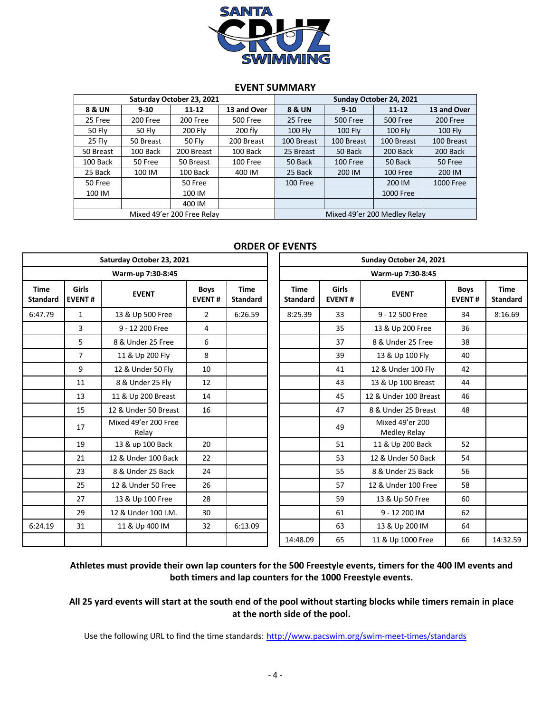

#### **EVENT SUMMARY**

| Saturday October 23, 2021 |               |                            |             | Sunday October 24, 2021      |                 |                 |                |  |  |
|---------------------------|---------------|----------------------------|-------------|------------------------------|-----------------|-----------------|----------------|--|--|
| <b>8 &amp; UN</b>         | $9 - 10$      | $11 - 12$                  | 13 and Over | <b>8 &amp; UN</b>            | $9 - 10$        | $11 - 12$       | 13 and Over    |  |  |
| 25 Free                   | 200 Free      | 200 Free                   | 500 Free    | 25 Free                      | <b>500 Free</b> | <b>500 Free</b> | 200 Free       |  |  |
| <b>50 Fly</b>             | <b>50 Flv</b> | <b>200 Fly</b>             | 200 fly     | <b>100 Flv</b>               | 100 Fly         | <b>100 Fly</b>  | <b>100 Fly</b> |  |  |
| 25 Fly                    | 50 Breast     | 50 Fly                     | 200 Breast  | 100 Breast                   | 100 Breast      | 100 Breast      | 100 Breast     |  |  |
| 50 Breast                 | 100 Back      | 200 Breast                 | 100 Back    | 25 Breast                    | 50 Back         | 200 Back        | 200 Back       |  |  |
| 100 Back                  | 50 Free       | 50 Breast                  | 100 Free    | 50 Back                      | 100 Free        | 50 Back         | 50 Free        |  |  |
| 25 Back                   | 100 IM        | 100 Back                   | 400 IM      | 25 Back                      | 200 IM          | 100 Free        | 200 IM         |  |  |
| 50 Free                   |               | 50 Free                    |             | 100 Free                     |                 | 200 IM          | 1000 Free      |  |  |
| 100 IM                    |               | 100 IM                     |             |                              |                 | 1000 Free       |                |  |  |
|                           |               | 400 IM                     |             |                              |                 |                 |                |  |  |
|                           |               | Mixed 49'er 200 Free Relay |             | Mixed 49'er 200 Medley Relay |                 |                 |                |  |  |

## **ORDER OF EVENTS**

|                                |                               | Saturday October 23, 2021     |                              |                                | Sunday October 24, 2021        |                               |                                 |                              |                                |  |  |  |  |
|--------------------------------|-------------------------------|-------------------------------|------------------------------|--------------------------------|--------------------------------|-------------------------------|---------------------------------|------------------------------|--------------------------------|--|--|--|--|
|                                |                               | Warm-up 7:30-8:45             |                              |                                |                                | Warm-up 7:30-8:45             |                                 |                              |                                |  |  |  |  |
| <b>Time</b><br><b>Standard</b> | <b>Girls</b><br><b>EVENT#</b> | <b>EVENT</b>                  | <b>Boys</b><br><b>EVENT#</b> | <b>Time</b><br><b>Standard</b> | <b>Time</b><br><b>Standard</b> | <b>Girls</b><br><b>EVENT#</b> | <b>EVENT</b>                    | <b>Boys</b><br><b>EVENT#</b> | <b>Time</b><br><b>Standard</b> |  |  |  |  |
| 6:47.79                        | $\mathbf{1}$                  | 13 & Up 500 Free              | $\overline{2}$               | 6:26.59                        | 8:25.39                        | 33                            | 9 - 12 500 Free<br>34           |                              | 8:16.69                        |  |  |  |  |
|                                | 3                             | 9 - 12 200 Free               | 4                            |                                |                                | 35                            | 13 & Up 200 Free                | 36                           |                                |  |  |  |  |
|                                | 5                             | 8 & Under 25 Free             | 6                            |                                |                                | 37                            | 8 & Under 25 Free               | 38                           |                                |  |  |  |  |
|                                | $\overline{7}$                | 11 & Up 200 Fly               | 8                            |                                |                                | 39                            | 13 & Up 100 Fly                 | 40                           |                                |  |  |  |  |
|                                | 9                             | 12 & Under 50 Fly             | 10                           |                                |                                | 41                            | 12 & Under 100 Fly              | 42                           |                                |  |  |  |  |
|                                | 11                            | 8 & Under 25 Fly              | 12                           |                                |                                | 43                            | 13 & Up 100 Breast              | 44                           |                                |  |  |  |  |
|                                | 13                            | 11 & Up 200 Breast            | 14                           |                                |                                | 45                            | 12 & Under 100 Breast           | 46                           |                                |  |  |  |  |
|                                | 15                            | 12 & Under 50 Breast          | 16                           |                                |                                | 47                            | 8 & Under 25 Breast             | 48                           |                                |  |  |  |  |
|                                | 17                            | Mixed 49'er 200 Free<br>Relay |                              |                                |                                | 49                            | Mixed 49'er 200<br>Medley Relay |                              |                                |  |  |  |  |
|                                | 19                            | 13 & up 100 Back              | 20                           |                                |                                | 51                            | 11 & Up 200 Back                | 52                           |                                |  |  |  |  |
|                                | 21                            | 12 & Under 100 Back           | 22                           |                                |                                | 53                            | 12 & Under 50 Back              | 54                           |                                |  |  |  |  |
|                                | 23                            | 8 & Under 25 Back             | 24                           |                                |                                | 55                            | 8 & Under 25 Back               | 56                           |                                |  |  |  |  |
|                                | 25                            | 12 & Under 50 Free            | 26                           |                                |                                | 57                            | 12 & Under 100 Free             | 58                           |                                |  |  |  |  |
|                                | 27                            | 13 & Up 100 Free              | 28                           |                                |                                | 59                            | 13 & Up 50 Free                 | 60                           |                                |  |  |  |  |
|                                | 29                            | 12 & Under 100 I.M.           | 30                           |                                |                                | 61                            | 9 - 12 200 IM                   | 62                           |                                |  |  |  |  |
| 6:24.19                        | 31                            | 11 & Up 400 IM                | 32                           | 6:13.09                        |                                | 63                            | 13 & Up 200 IM                  | 64                           |                                |  |  |  |  |
|                                |                               |                               |                              |                                | 14:48.09                       | 65                            | 11 & Up 1000 Free               | 66                           | 14:32.59                       |  |  |  |  |

**Athletes must provide their own lap counters for the 500 Freestyle events, timers for the 400 IM events and both timers and lap counters for the 1000 Freestyle events.**

# **All 25 yard events will start at the south end of the pool without starting blocks while timers remain in place at the north side of the pool.**

Use the following URL to find the time standards: http://www.pacswim.org/swim-meet-times/standards